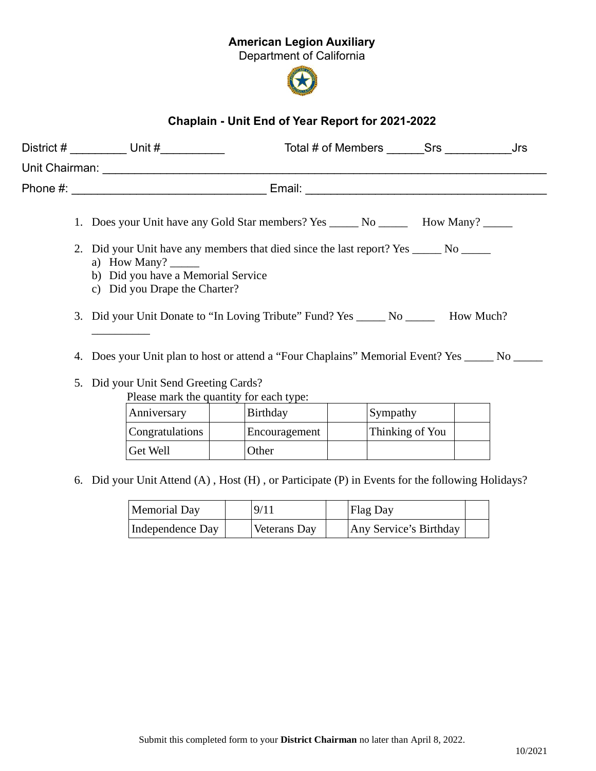## American Legion Auxiliary

Department of California



## Chaplain - Unit End of Year Report for 2021-2022

|  |                                                                                                                                                                                                       | District $#$ Unit $#$                                                                     | Total # of Members Srs Jrs                                                                       |  |  |  |  |  |  |
|--|-------------------------------------------------------------------------------------------------------------------------------------------------------------------------------------------------------|-------------------------------------------------------------------------------------------|--------------------------------------------------------------------------------------------------|--|--|--|--|--|--|
|  |                                                                                                                                                                                                       |                                                                                           |                                                                                                  |  |  |  |  |  |  |
|  |                                                                                                                                                                                                       |                                                                                           |                                                                                                  |  |  |  |  |  |  |
|  |                                                                                                                                                                                                       |                                                                                           | 1. Does your Unit have any Gold Star members? Yes _______ No _________ How Many? ______          |  |  |  |  |  |  |
|  | 2. Did your Unit have any members that died since the last report? Yes _______ No ______<br>a) How Many? $\_\_\_\_\_\_\_\_\_\$<br>b) Did you have a Memorial Service<br>c) Did you Drape the Charter? |                                                                                           |                                                                                                  |  |  |  |  |  |  |
|  |                                                                                                                                                                                                       |                                                                                           | 3. Did your Unit Donate to "In Loving Tribute" Fund? Yes _____ No ______ How Much?               |  |  |  |  |  |  |
|  |                                                                                                                                                                                                       |                                                                                           | 4. Does your Unit plan to host or attend a "Four Chaplains" Memorial Event? Yes ______ No ______ |  |  |  |  |  |  |
|  |                                                                                                                                                                                                       | $\mathbb{R}^{11}$ $\mathbb{R}^{11}$ $\mathbb{R}^{10}$ $\mathbb{R}^{10}$ $\mathbb{R}^{11}$ |                                                                                                  |  |  |  |  |  |  |

5. Did your Unit Send Greeting Cards?

Please mark the quantity for each type:

| Anniversary     | <b>Birthday</b> | Sympathy        |  |
|-----------------|-----------------|-----------------|--|
| Congratulations | Encouragement   | Thinking of You |  |
| Get Well        | Other           |                 |  |

6. Did your Unit Attend (A) , Host (H) , or Participate (P) in Events for the following Holidays?

| <b>Memorial Day</b> | 9/11                | <b>Flag Day</b>        |  |
|---------------------|---------------------|------------------------|--|
| Independence Day    | <b>Veterans Day</b> | Any Service's Birthday |  |